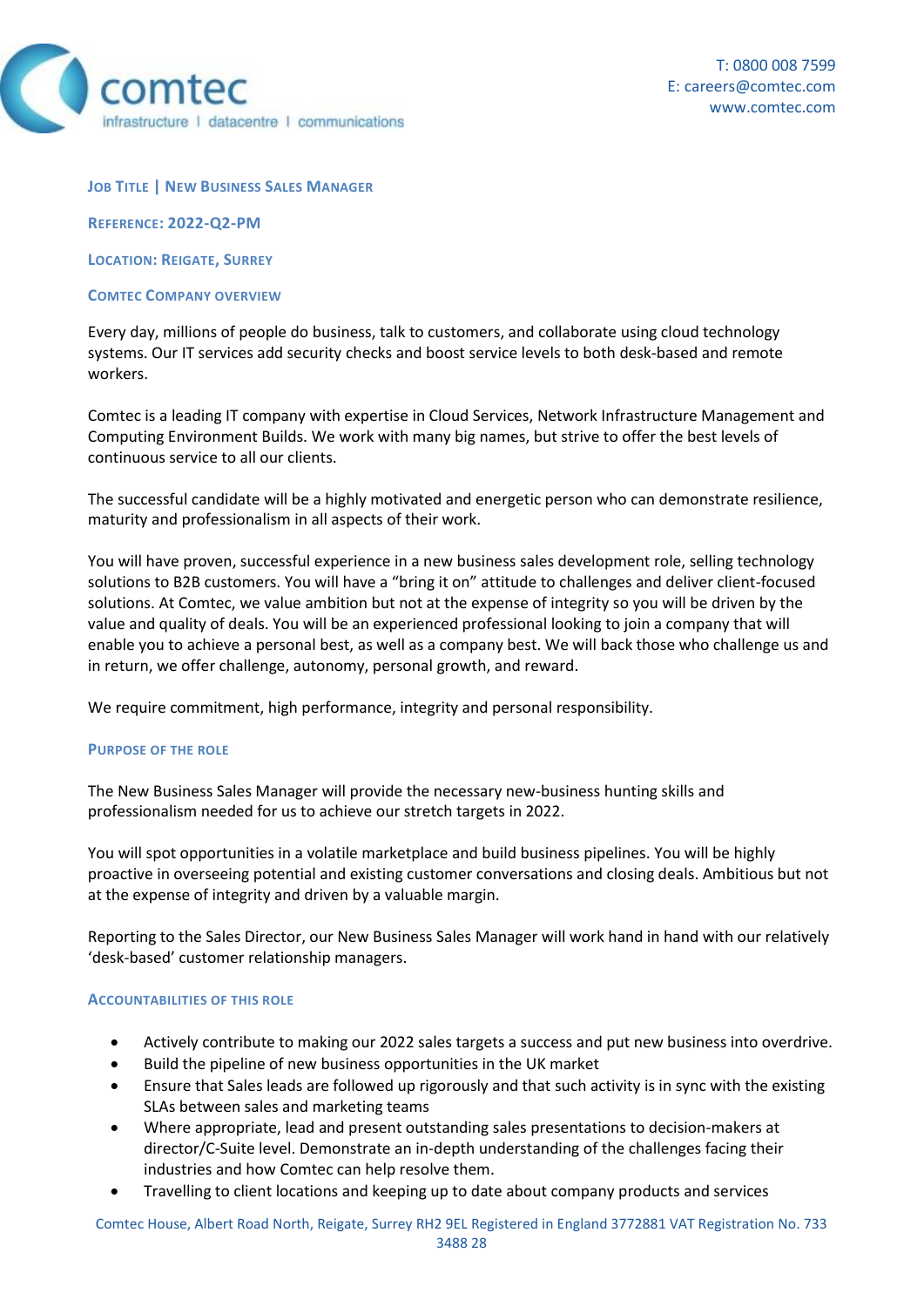

### **JOB TITLE | NEW BUSINESS SALES MANAGER**

**REFERENCE: 2022-Q2-PM**

**LOCATION: REIGATE, SURREY**

#### **COMTEC COMPANY OVERVIEW**

Every day, millions of people do business, talk to customers, and collaborate using cloud technology systems. Our IT services add security checks and boost service levels to both desk-based and remote workers.

Comtec is a leading IT company with expertise in Cloud Services, Network Infrastructure Management and Computing Environment Builds. We work with many big names, but strive to offer the best levels of continuous service to all our clients.

The successful candidate will be a highly motivated and energetic person who can demonstrate resilience, maturity and professionalism in all aspects of their work.

You will have proven, successful experience in a new business sales development role, selling technology solutions to B2B customers. You will have a "bring it on" attitude to challenges and deliver client-focused solutions. At Comtec, we value ambition but not at the expense of integrity so you will be driven by the value and quality of deals. You will be an experienced professional looking to join a company that will enable you to achieve a personal best, as well as a company best. We will back those who challenge us and in return, we offer challenge, autonomy, personal growth, and reward.

We require commitment, high performance, integrity and personal responsibility.

### **PURPOSE OF THE ROLE**

The New Business Sales Manager will provide the necessary new-business hunting skills and professionalism needed for us to achieve our stretch targets in 2022.

You will spot opportunities in a volatile marketplace and build business pipelines. You will be highly proactive in overseeing potential and existing customer conversations and closing deals. Ambitious but not at the expense of integrity and driven by a valuable margin.

Reporting to the Sales Director, our New Business Sales Manager will work hand in hand with our relatively 'desk-based' customer relationship managers.

### **ACCOUNTABILITIES OF THIS ROLE**

- Actively contribute to making our 2022 sales targets a success and put new business into overdrive.
- Build the pipeline of new business opportunities in the UK market
- Ensure that Sales leads are followed up rigorously and that such activity is in sync with the existing SLAs between sales and marketing teams
- Where appropriate, lead and present outstanding sales presentations to decision-makers at director/C-Suite level. Demonstrate an in-depth understanding of the challenges facing their industries and how Comtec can help resolve them.
- Travelling to client locations and keeping up to date about company products and services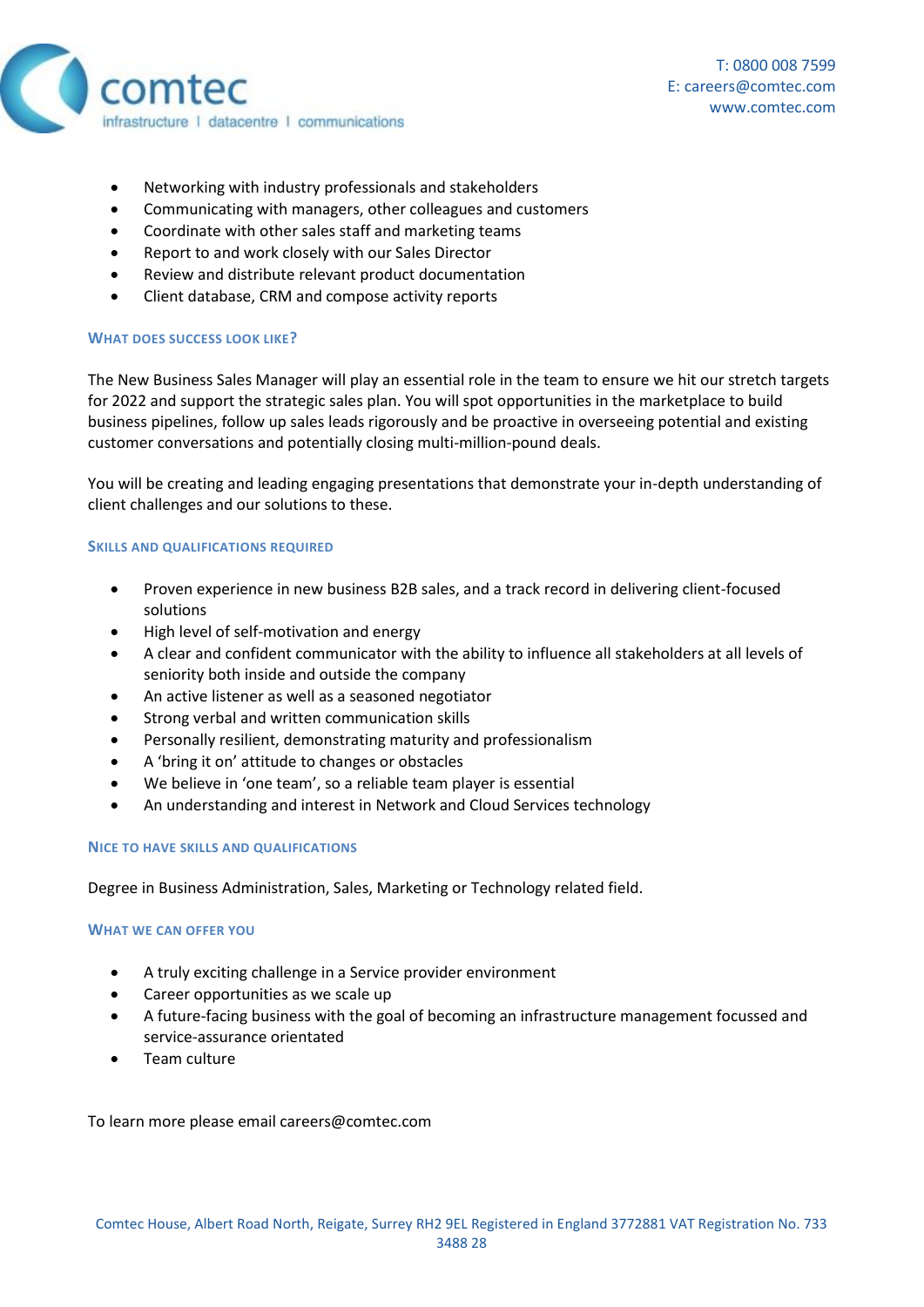

- Networking with industry professionals and stakeholders
- Communicating with managers, other colleagues and customers
- Coordinate with other sales staff and marketing teams
- Report to and work closely with our Sales Director
- Review and distribute relevant product documentation
- Client database, CRM and compose activity reports

# **WHAT DOES SUCCESS LOOK LIKE?**

The New Business Sales Manager will play an essential role in the team to ensure we hit our stretch targets for 2022 and support the strategic sales plan. You will spot opportunities in the marketplace to build business pipelines, follow up sales leads rigorously and be proactive in overseeing potential and existing customer conversations and potentially closing multi-million-pound deals.

You will be creating and leading engaging presentations that demonstrate your in-depth understanding of client challenges and our solutions to these.

## **SKILLS AND QUALIFICATIONS REQUIRED**

- Proven experience in new business B2B sales, and a track record in delivering client-focused solutions
- High level of self-motivation and energy
- A clear and confident communicator with the ability to influence all stakeholders at all levels of seniority both inside and outside the company
- An active listener as well as a seasoned negotiator
- Strong verbal and written communication skills
- Personally resilient, demonstrating maturity and professionalism
- A 'bring it on' attitude to changes or obstacles
- We believe in 'one team', so a reliable team player is essential
- An understanding and interest in Network and Cloud Services technology

### **NICE TO HAVE SKILLS AND QUALIFICATIONS**

Degree in Business Administration, Sales, Marketing or Technology related field.

### **WHAT WE CAN OFFER YOU**

- A truly exciting challenge in a Service provider environment
- Career opportunities as we scale up
- A future-facing business with the goal of becoming an infrastructure management focussed and service-assurance orientated
- Team culture

To learn more please email careers@comtec.com